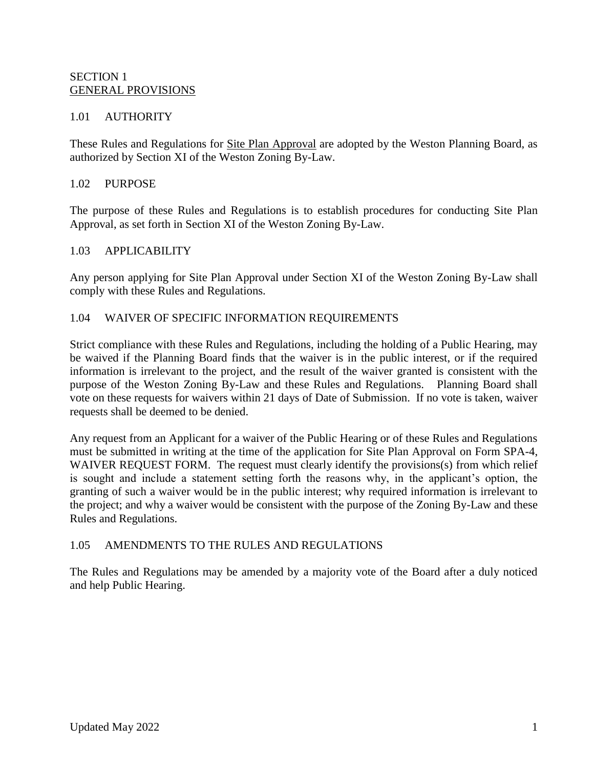#### SECTION 1 GENERAL PROVISIONS

### 1.01 AUTHORITY

These Rules and Regulations for Site Plan Approval are adopted by the Weston Planning Board, as authorized by Section XI of the Weston Zoning By-Law.

#### 1.02 PURPOSE

The purpose of these Rules and Regulations is to establish procedures for conducting Site Plan Approval, as set forth in Section XI of the Weston Zoning By-Law.

#### 1.03 APPLICABILITY

Any person applying for Site Plan Approval under Section XI of the Weston Zoning By-Law shall comply with these Rules and Regulations.

#### 1.04 WAIVER OF SPECIFIC INFORMATION REQUIREMENTS

Strict compliance with these Rules and Regulations, including the holding of a Public Hearing, may be waived if the Planning Board finds that the waiver is in the public interest, or if the required information is irrelevant to the project, and the result of the waiver granted is consistent with the purpose of the Weston Zoning By-Law and these Rules and Regulations. Planning Board shall vote on these requests for waivers within 21 days of Date of Submission. If no vote is taken, waiver requests shall be deemed to be denied.

Any request from an Applicant for a waiver of the Public Hearing or of these Rules and Regulations must be submitted in writing at the time of the application for Site Plan Approval on Form SPA-4, WAIVER REQUEST FORM. The request must clearly identify the provisions(s) from which relief is sought and include a statement setting forth the reasons why, in the applicant's option, the granting of such a waiver would be in the public interest; why required information is irrelevant to the project; and why a waiver would be consistent with the purpose of the Zoning By-Law and these Rules and Regulations.

#### 1.05 AMENDMENTS TO THE RULES AND REGULATIONS

The Rules and Regulations may be amended by a majority vote of the Board after a duly noticed and help Public Hearing.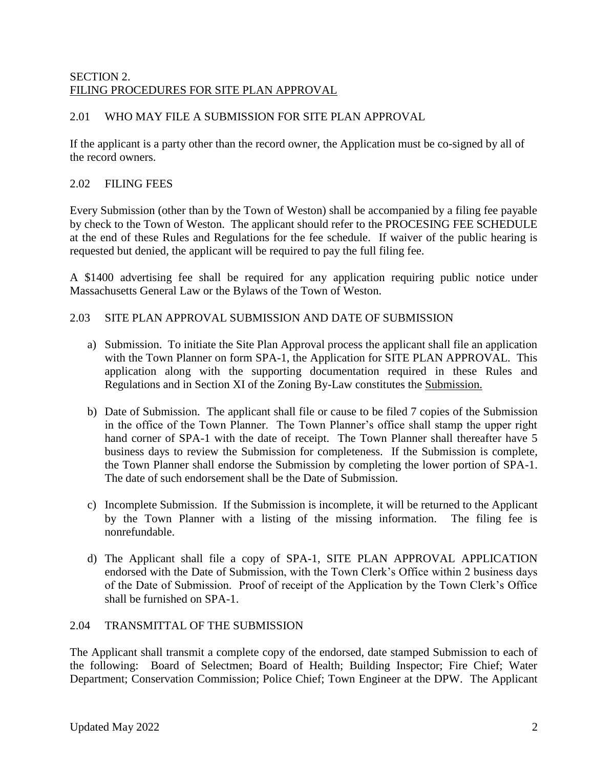### SECTION 2. FILING PROCEDURES FOR SITE PLAN APPROVAL

## 2.01 WHO MAY FILE A SUBMISSION FOR SITE PLAN APPROVAL

If the applicant is a party other than the record owner, the Application must be co-signed by all of the record owners.

### 2.02 FILING FEES

Every Submission (other than by the Town of Weston) shall be accompanied by a filing fee payable by check to the Town of Weston. The applicant should refer to the PROCESING FEE SCHEDULE at the end of these Rules and Regulations for the fee schedule. If waiver of the public hearing is requested but denied, the applicant will be required to pay the full filing fee.

A \$1400 advertising fee shall be required for any application requiring public notice under Massachusetts General Law or the Bylaws of the Town of Weston.

### 2.03 SITE PLAN APPROVAL SUBMISSION AND DATE OF SUBMISSION

- a) Submission. To initiate the Site Plan Approval process the applicant shall file an application with the Town Planner on form SPA-1, the Application for SITE PLAN APPROVAL. This application along with the supporting documentation required in these Rules and Regulations and in Section XI of the Zoning By-Law constitutes the Submission.
- b) Date of Submission. The applicant shall file or cause to be filed 7 copies of the Submission in the office of the Town Planner. The Town Planner's office shall stamp the upper right hand corner of SPA-1 with the date of receipt. The Town Planner shall thereafter have 5 business days to review the Submission for completeness. If the Submission is complete, the Town Planner shall endorse the Submission by completing the lower portion of SPA-1. The date of such endorsement shall be the Date of Submission.
- c) Incomplete Submission. If the Submission is incomplete, it will be returned to the Applicant by the Town Planner with a listing of the missing information. The filing fee is nonrefundable.
- d) The Applicant shall file a copy of SPA-1, SITE PLAN APPROVAL APPLICATION endorsed with the Date of Submission, with the Town Clerk's Office within 2 business days of the Date of Submission. Proof of receipt of the Application by the Town Clerk's Office shall be furnished on SPA-1.

#### 2.04 TRANSMITTAL OF THE SUBMISSION

The Applicant shall transmit a complete copy of the endorsed, date stamped Submission to each of the following: Board of Selectmen; Board of Health; Building Inspector; Fire Chief; Water Department; Conservation Commission; Police Chief; Town Engineer at the DPW. The Applicant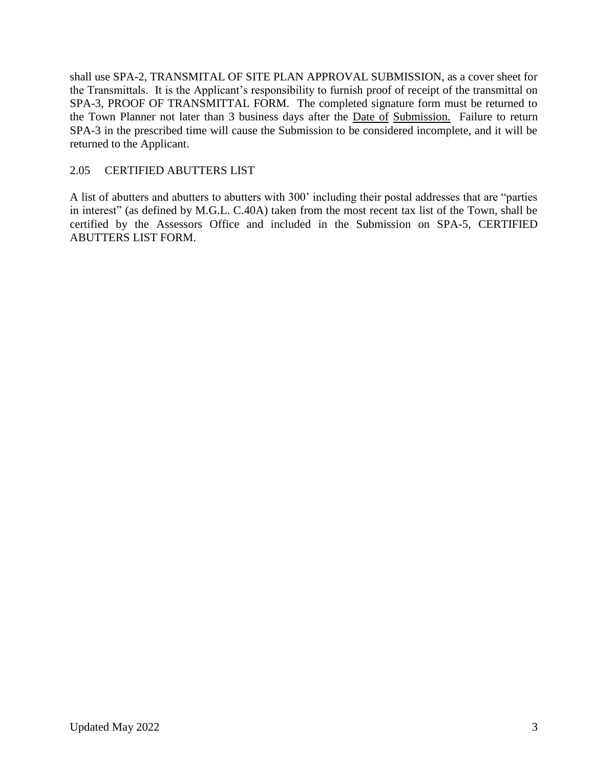shall use SPA-2, TRANSMITAL OF SITE PLAN APPROVAL SUBMISSION, as a cover sheet for the Transmittals. It is the Applicant's responsibility to furnish proof of receipt of the transmittal on SPA-3, PROOF OF TRANSMITTAL FORM. The completed signature form must be returned to the Town Planner not later than 3 business days after the Date of Submission. Failure to return SPA-3 in the prescribed time will cause the Submission to be considered incomplete, and it will be returned to the Applicant.

### 2.05 CERTIFIED ABUTTERS LIST

A list of abutters and abutters to abutters with 300' including their postal addresses that are "parties in interest" (as defined by M.G.L. C.40A) taken from the most recent tax list of the Town, shall be certified by the Assessors Office and included in the Submission on SPA-5, CERTIFIED ABUTTERS LIST FORM.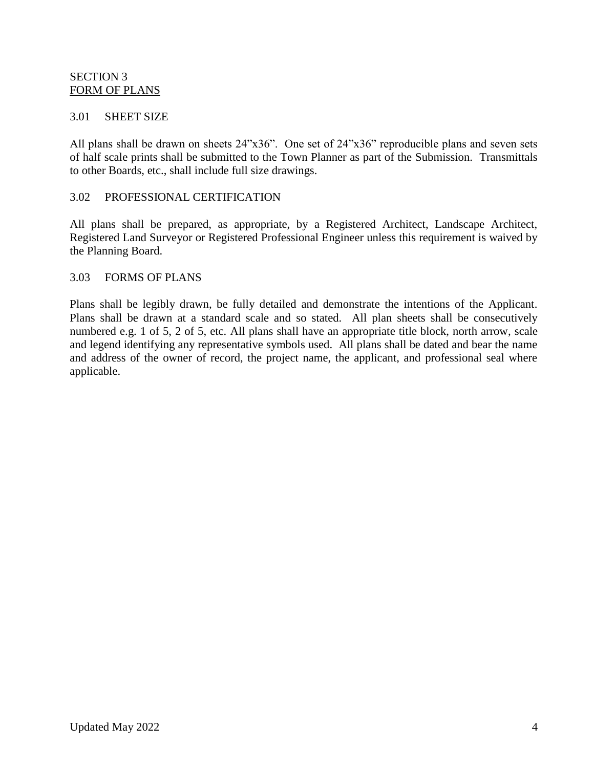#### SECTION 3 FORM OF PLANS

#### 3.01 SHEET SIZE

All plans shall be drawn on sheets 24"x36". One set of 24"x36" reproducible plans and seven sets of half scale prints shall be submitted to the Town Planner as part of the Submission. Transmittals to other Boards, etc., shall include full size drawings.

#### 3.02 PROFESSIONAL CERTIFICATION

All plans shall be prepared, as appropriate, by a Registered Architect, Landscape Architect, Registered Land Surveyor or Registered Professional Engineer unless this requirement is waived by the Planning Board.

#### 3.03 FORMS OF PLANS

Plans shall be legibly drawn, be fully detailed and demonstrate the intentions of the Applicant. Plans shall be drawn at a standard scale and so stated. All plan sheets shall be consecutively numbered e.g. 1 of 5, 2 of 5, etc. All plans shall have an appropriate title block, north arrow, scale and legend identifying any representative symbols used. All plans shall be dated and bear the name and address of the owner of record, the project name, the applicant, and professional seal where applicable.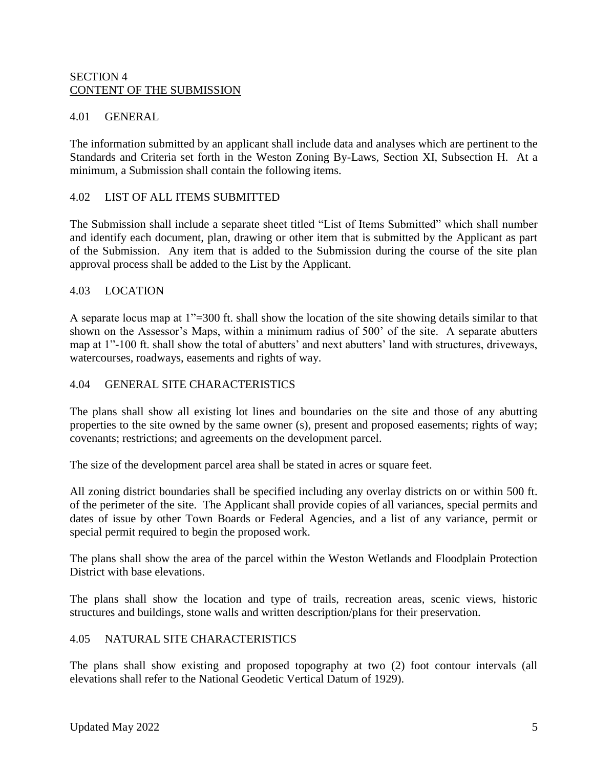#### SECTION 4 CONTENT OF THE SUBMISSION

#### 4.01 GENERAL

The information submitted by an applicant shall include data and analyses which are pertinent to the Standards and Criteria set forth in the Weston Zoning By-Laws, Section XI, Subsection H. At a minimum, a Submission shall contain the following items.

#### 4.02 LIST OF ALL ITEMS SUBMITTED

The Submission shall include a separate sheet titled "List of Items Submitted" which shall number and identify each document, plan, drawing or other item that is submitted by the Applicant as part of the Submission. Any item that is added to the Submission during the course of the site plan approval process shall be added to the List by the Applicant.

#### 4.03 LOCATION

A separate locus map at 1"=300 ft. shall show the location of the site showing details similar to that shown on the Assessor's Maps, within a minimum radius of 500' of the site. A separate abutters map at 1"-100 ft. shall show the total of abutters' and next abutters' land with structures, driveways, watercourses, roadways, easements and rights of way.

#### 4.04 GENERAL SITE CHARACTERISTICS

The plans shall show all existing lot lines and boundaries on the site and those of any abutting properties to the site owned by the same owner (s), present and proposed easements; rights of way; covenants; restrictions; and agreements on the development parcel.

The size of the development parcel area shall be stated in acres or square feet.

All zoning district boundaries shall be specified including any overlay districts on or within 500 ft. of the perimeter of the site. The Applicant shall provide copies of all variances, special permits and dates of issue by other Town Boards or Federal Agencies, and a list of any variance, permit or special permit required to begin the proposed work.

The plans shall show the area of the parcel within the Weston Wetlands and Floodplain Protection District with base elevations.

The plans shall show the location and type of trails, recreation areas, scenic views, historic structures and buildings, stone walls and written description/plans for their preservation.

#### 4.05 NATURAL SITE CHARACTERISTICS

The plans shall show existing and proposed topography at two (2) foot contour intervals (all elevations shall refer to the National Geodetic Vertical Datum of 1929).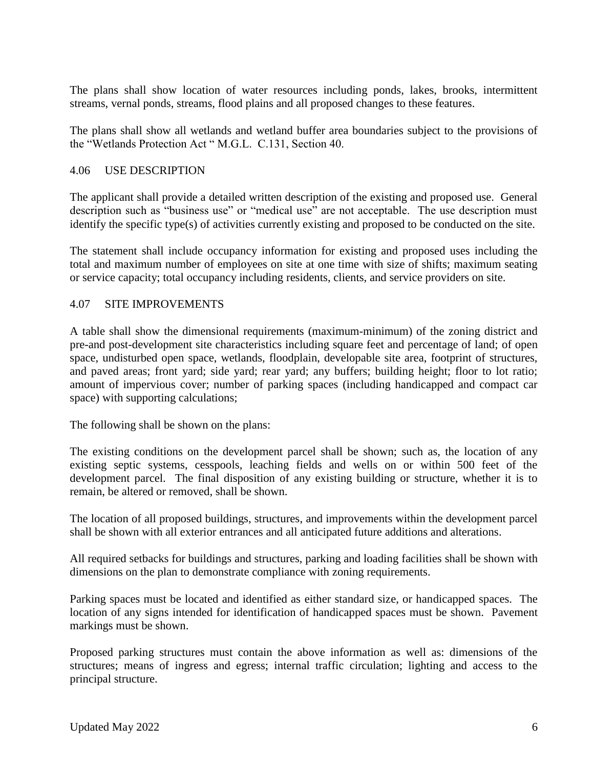The plans shall show location of water resources including ponds, lakes, brooks, intermittent streams, vernal ponds, streams, flood plains and all proposed changes to these features.

The plans shall show all wetlands and wetland buffer area boundaries subject to the provisions of the "Wetlands Protection Act " M.G.L. C.131, Section 40.

#### 4.06 USE DESCRIPTION

The applicant shall provide a detailed written description of the existing and proposed use. General description such as "business use" or "medical use" are not acceptable. The use description must identify the specific type(s) of activities currently existing and proposed to be conducted on the site.

The statement shall include occupancy information for existing and proposed uses including the total and maximum number of employees on site at one time with size of shifts; maximum seating or service capacity; total occupancy including residents, clients, and service providers on site.

#### 4.07 SITE IMPROVEMENTS

A table shall show the dimensional requirements (maximum-minimum) of the zoning district and pre-and post-development site characteristics including square feet and percentage of land; of open space, undisturbed open space, wetlands, floodplain, developable site area, footprint of structures, and paved areas; front yard; side yard; rear yard; any buffers; building height; floor to lot ratio; amount of impervious cover; number of parking spaces (including handicapped and compact car space) with supporting calculations;

The following shall be shown on the plans:

The existing conditions on the development parcel shall be shown; such as, the location of any existing septic systems, cesspools, leaching fields and wells on or within 500 feet of the development parcel. The final disposition of any existing building or structure, whether it is to remain, be altered or removed, shall be shown.

The location of all proposed buildings, structures, and improvements within the development parcel shall be shown with all exterior entrances and all anticipated future additions and alterations.

All required setbacks for buildings and structures, parking and loading facilities shall be shown with dimensions on the plan to demonstrate compliance with zoning requirements.

Parking spaces must be located and identified as either standard size, or handicapped spaces. The location of any signs intended for identification of handicapped spaces must be shown. Pavement markings must be shown.

Proposed parking structures must contain the above information as well as: dimensions of the structures; means of ingress and egress; internal traffic circulation; lighting and access to the principal structure.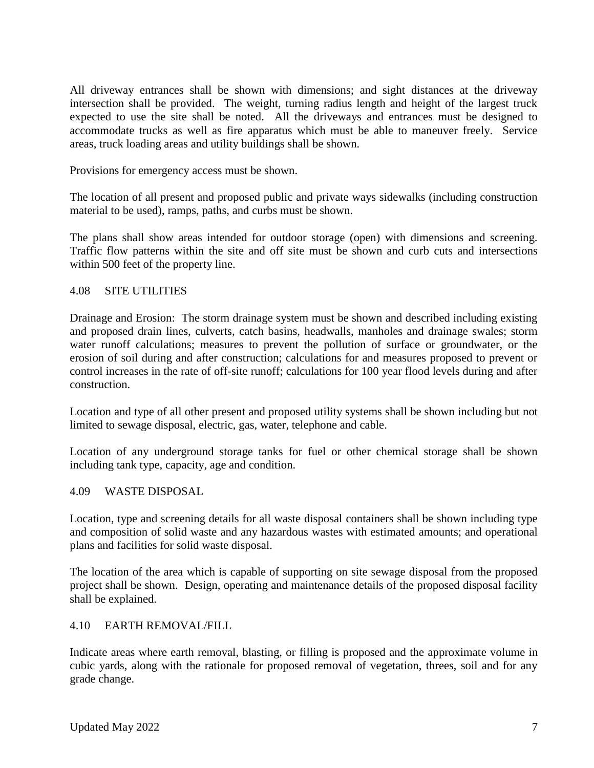All driveway entrances shall be shown with dimensions; and sight distances at the driveway intersection shall be provided. The weight, turning radius length and height of the largest truck expected to use the site shall be noted. All the driveways and entrances must be designed to accommodate trucks as well as fire apparatus which must be able to maneuver freely. Service areas, truck loading areas and utility buildings shall be shown.

Provisions for emergency access must be shown.

The location of all present and proposed public and private ways sidewalks (including construction material to be used), ramps, paths, and curbs must be shown.

The plans shall show areas intended for outdoor storage (open) with dimensions and screening. Traffic flow patterns within the site and off site must be shown and curb cuts and intersections within 500 feet of the property line.

#### 4.08 SITE UTILITIES

Drainage and Erosion: The storm drainage system must be shown and described including existing and proposed drain lines, culverts, catch basins, headwalls, manholes and drainage swales; storm water runoff calculations; measures to prevent the pollution of surface or groundwater, or the erosion of soil during and after construction; calculations for and measures proposed to prevent or control increases in the rate of off-site runoff; calculations for 100 year flood levels during and after construction.

Location and type of all other present and proposed utility systems shall be shown including but not limited to sewage disposal, electric, gas, water, telephone and cable.

Location of any underground storage tanks for fuel or other chemical storage shall be shown including tank type, capacity, age and condition.

#### 4.09 WASTE DISPOSAL

Location, type and screening details for all waste disposal containers shall be shown including type and composition of solid waste and any hazardous wastes with estimated amounts; and operational plans and facilities for solid waste disposal.

The location of the area which is capable of supporting on site sewage disposal from the proposed project shall be shown. Design, operating and maintenance details of the proposed disposal facility shall be explained.

#### 4.10 EARTH REMOVAL/FILL

Indicate areas where earth removal, blasting, or filling is proposed and the approximate volume in cubic yards, along with the rationale for proposed removal of vegetation, threes, soil and for any grade change.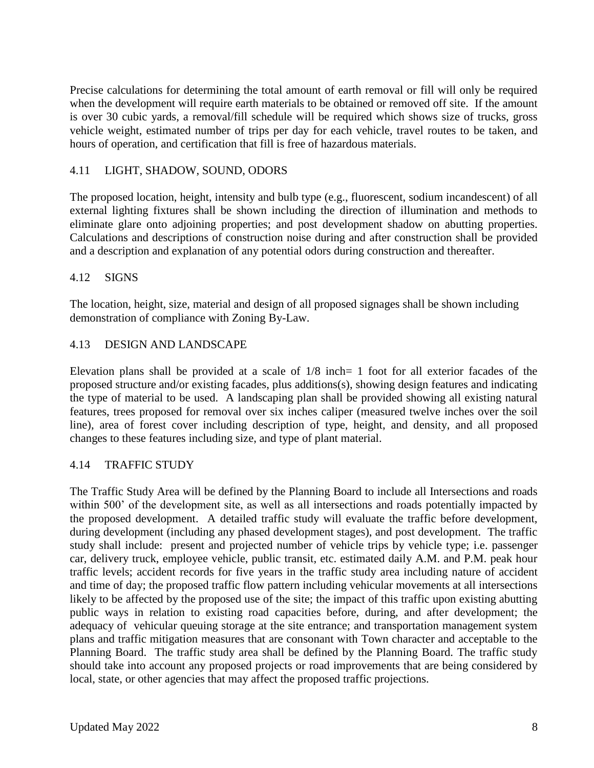Precise calculations for determining the total amount of earth removal or fill will only be required when the development will require earth materials to be obtained or removed off site. If the amount is over 30 cubic yards, a removal/fill schedule will be required which shows size of trucks, gross vehicle weight, estimated number of trips per day for each vehicle, travel routes to be taken, and hours of operation, and certification that fill is free of hazardous materials.

### 4.11 LIGHT, SHADOW, SOUND, ODORS

The proposed location, height, intensity and bulb type (e.g., fluorescent, sodium incandescent) of all external lighting fixtures shall be shown including the direction of illumination and methods to eliminate glare onto adjoining properties; and post development shadow on abutting properties. Calculations and descriptions of construction noise during and after construction shall be provided and a description and explanation of any potential odors during construction and thereafter.

#### 4.12 SIGNS

The location, height, size, material and design of all proposed signages shall be shown including demonstration of compliance with Zoning By-Law.

#### 4.13 DESIGN AND LANDSCAPE

Elevation plans shall be provided at a scale of 1/8 inch= 1 foot for all exterior facades of the proposed structure and/or existing facades, plus additions(s), showing design features and indicating the type of material to be used. A landscaping plan shall be provided showing all existing natural features, trees proposed for removal over six inches caliper (measured twelve inches over the soil line), area of forest cover including description of type, height, and density, and all proposed changes to these features including size, and type of plant material.

#### 4.14 TRAFFIC STUDY

The Traffic Study Area will be defined by the Planning Board to include all Intersections and roads within 500' of the development site, as well as all intersections and roads potentially impacted by the proposed development. A detailed traffic study will evaluate the traffic before development, during development (including any phased development stages), and post development. The traffic study shall include: present and projected number of vehicle trips by vehicle type; i.e. passenger car, delivery truck, employee vehicle, public transit, etc. estimated daily A.M. and P.M. peak hour traffic levels; accident records for five years in the traffic study area including nature of accident and time of day; the proposed traffic flow pattern including vehicular movements at all intersections likely to be affected by the proposed use of the site; the impact of this traffic upon existing abutting public ways in relation to existing road capacities before, during, and after development; the adequacy of vehicular queuing storage at the site entrance; and transportation management system plans and traffic mitigation measures that are consonant with Town character and acceptable to the Planning Board. The traffic study area shall be defined by the Planning Board. The traffic study should take into account any proposed projects or road improvements that are being considered by local, state, or other agencies that may affect the proposed traffic projections.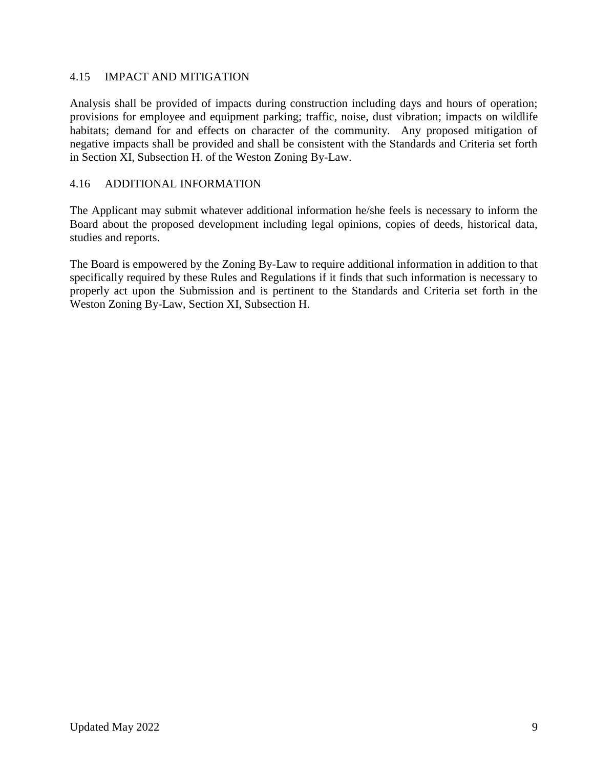### 4.15 IMPACT AND MITIGATION

Analysis shall be provided of impacts during construction including days and hours of operation; provisions for employee and equipment parking; traffic, noise, dust vibration; impacts on wildlife habitats; demand for and effects on character of the community. Any proposed mitigation of negative impacts shall be provided and shall be consistent with the Standards and Criteria set forth in Section XI, Subsection H. of the Weston Zoning By-Law.

### 4.16 ADDITIONAL INFORMATION

The Applicant may submit whatever additional information he/she feels is necessary to inform the Board about the proposed development including legal opinions, copies of deeds, historical data, studies and reports.

The Board is empowered by the Zoning By-Law to require additional information in addition to that specifically required by these Rules and Regulations if it finds that such information is necessary to properly act upon the Submission and is pertinent to the Standards and Criteria set forth in the Weston Zoning By-Law, Section XI, Subsection H.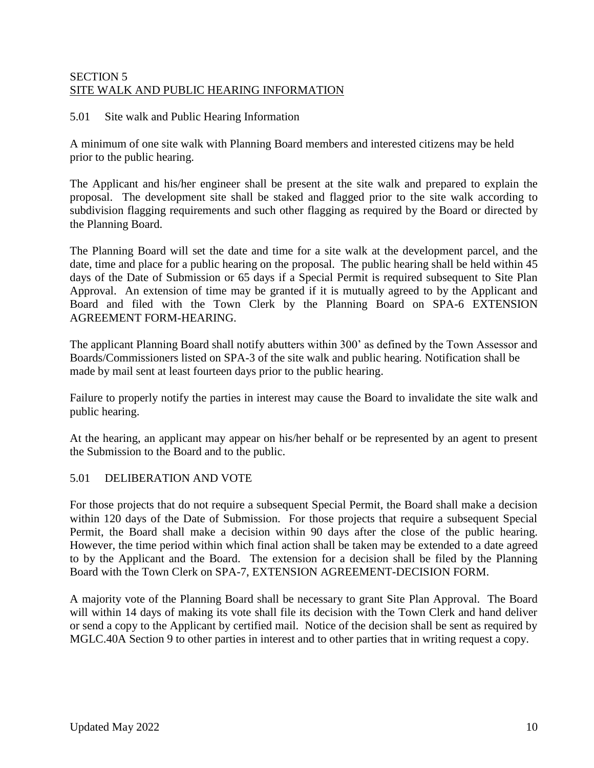### SECTION 5 SITE WALK AND PUBLIC HEARING INFORMATION

#### 5.01 Site walk and Public Hearing Information

A minimum of one site walk with Planning Board members and interested citizens may be held prior to the public hearing.

The Applicant and his/her engineer shall be present at the site walk and prepared to explain the proposal. The development site shall be staked and flagged prior to the site walk according to subdivision flagging requirements and such other flagging as required by the Board or directed by the Planning Board.

The Planning Board will set the date and time for a site walk at the development parcel, and the date, time and place for a public hearing on the proposal. The public hearing shall be held within 45 days of the Date of Submission or 65 days if a Special Permit is required subsequent to Site Plan Approval. An extension of time may be granted if it is mutually agreed to by the Applicant and Board and filed with the Town Clerk by the Planning Board on SPA-6 EXTENSION AGREEMENT FORM-HEARING.

The applicant Planning Board shall notify abutters within 300' as defined by the Town Assessor and Boards/Commissioners listed on SPA-3 of the site walk and public hearing. Notification shall be made by mail sent at least fourteen days prior to the public hearing.

Failure to properly notify the parties in interest may cause the Board to invalidate the site walk and public hearing.

At the hearing, an applicant may appear on his/her behalf or be represented by an agent to present the Submission to the Board and to the public.

### 5.01 DELIBERATION AND VOTE

For those projects that do not require a subsequent Special Permit, the Board shall make a decision within 120 days of the Date of Submission. For those projects that require a subsequent Special Permit, the Board shall make a decision within 90 days after the close of the public hearing. However, the time period within which final action shall be taken may be extended to a date agreed to by the Applicant and the Board. The extension for a decision shall be filed by the Planning Board with the Town Clerk on SPA-7, EXTENSION AGREEMENT-DECISION FORM.

A majority vote of the Planning Board shall be necessary to grant Site Plan Approval. The Board will within 14 days of making its vote shall file its decision with the Town Clerk and hand deliver or send a copy to the Applicant by certified mail. Notice of the decision shall be sent as required by MGLC.40A Section 9 to other parties in interest and to other parties that in writing request a copy.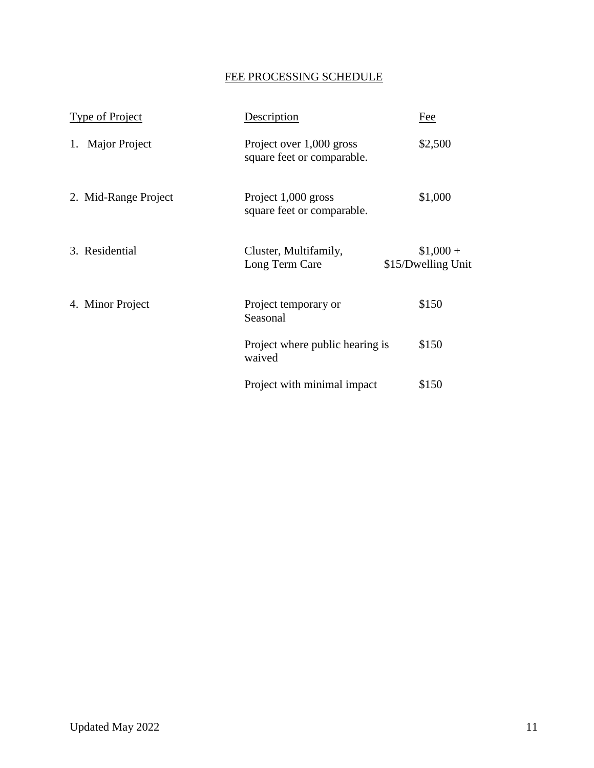# FEE PROCESSING SCHEDULE

| Type of Project      | Description                                            | Fee                             |
|----------------------|--------------------------------------------------------|---------------------------------|
| 1. Major Project     | Project over 1,000 gross<br>square feet or comparable. | \$2,500                         |
| 2. Mid-Range Project | Project 1,000 gross<br>square feet or comparable.      | \$1,000                         |
| 3. Residential       | Cluster, Multifamily,<br>Long Term Care                | $$1,000+$<br>\$15/Dwelling Unit |
| 4. Minor Project     | Project temporary or<br>Seasonal                       | \$150                           |
|                      | Project where public hearing is<br>waived              | \$150                           |
|                      | Project with minimal impact                            | \$150                           |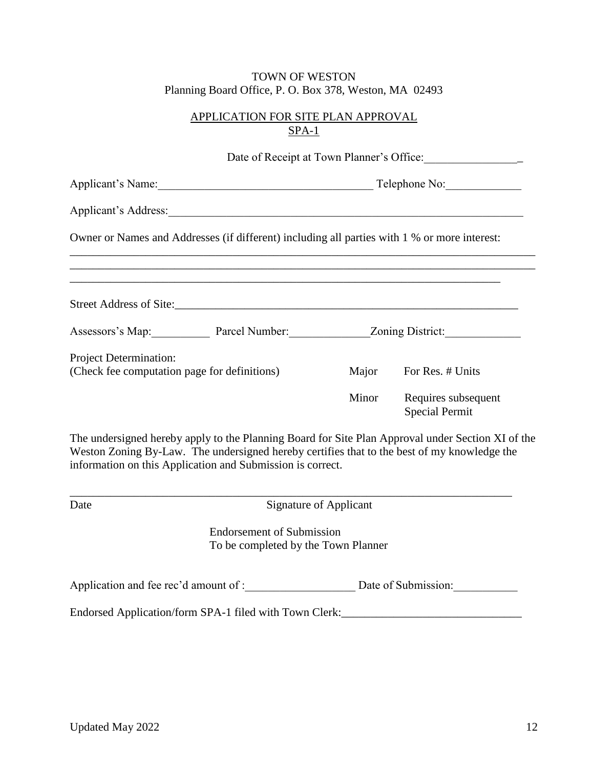## APPLICATION FOR SITE PLAN APPROVAL SPA-1

|                                                                        |                                                                                                                                                           |       | Date of Receipt at Town Planner's Office:                                                         |
|------------------------------------------------------------------------|-----------------------------------------------------------------------------------------------------------------------------------------------------------|-------|---------------------------------------------------------------------------------------------------|
|                                                                        | Telephone No:                                                                                                                                             |       |                                                                                                   |
|                                                                        | Applicant's Address:                                                                                                                                      |       |                                                                                                   |
|                                                                        | Owner or Names and Addresses (if different) including all parties with 1 % or more interest:                                                              |       |                                                                                                   |
|                                                                        |                                                                                                                                                           |       |                                                                                                   |
|                                                                        | Assessors's Map: Parcel Number: Zoning District:                                                                                                          |       |                                                                                                   |
| Project Determination:<br>(Check fee computation page for definitions) |                                                                                                                                                           |       | Major For Res. # Units                                                                            |
|                                                                        |                                                                                                                                                           | Minor | Requires subsequent<br><b>Special Permit</b>                                                      |
|                                                                        | Weston Zoning By-Law. The undersigned hereby certifies that to the best of my knowledge the<br>information on this Application and Submission is correct. |       | The undersigned hereby apply to the Planning Board for Site Plan Approval under Section XI of the |
| Date                                                                   | <b>Signature of Applicant</b>                                                                                                                             |       |                                                                                                   |
|                                                                        | <b>Endorsement of Submission</b><br>To be completed by the Town Planner                                                                                   |       |                                                                                                   |
|                                                                        | Application and fee rec'd amount of : Date of Submission:                                                                                                 |       |                                                                                                   |
|                                                                        | Endorsed Application/form SPA-1 filed with Town Clerk:___________________________                                                                         |       |                                                                                                   |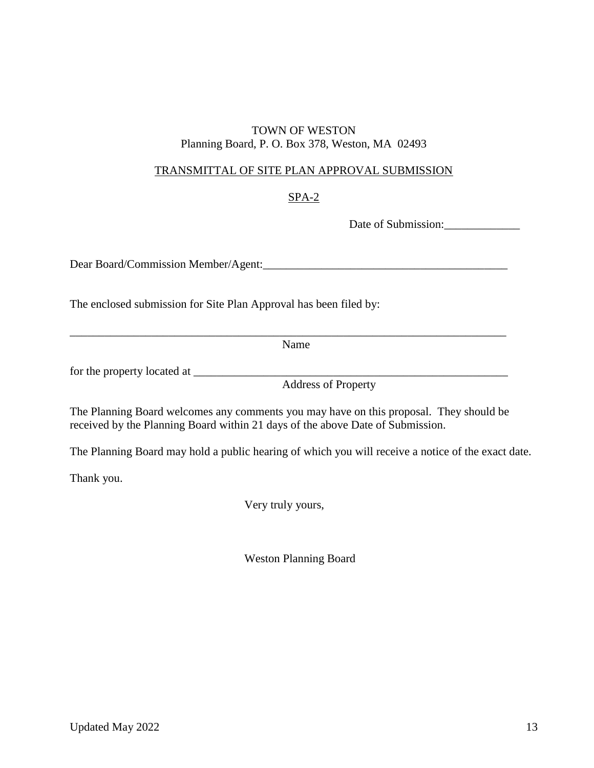### TRANSMITTAL OF SITE PLAN APPROVAL SUBMISSION

### SPA-2

Date of Submission:

Dear Board/Commission Member/Agent:\_\_\_\_\_\_\_\_\_\_\_\_\_\_\_\_\_\_\_\_\_\_\_\_\_\_\_\_\_\_\_\_\_\_\_\_\_\_\_\_\_\_

The enclosed submission for Site Plan Approval has been filed by:

Name

\_\_\_\_\_\_\_\_\_\_\_\_\_\_\_\_\_\_\_\_\_\_\_\_\_\_\_\_\_\_\_\_\_\_\_\_\_\_\_\_\_\_\_\_\_\_\_\_\_\_\_\_\_\_\_\_\_\_\_\_\_\_\_\_\_\_\_\_\_\_\_\_\_\_\_

for the property located at \_\_\_\_\_\_\_\_\_\_\_\_\_\_\_\_\_\_\_\_\_\_\_\_\_\_\_\_\_\_\_\_\_\_\_\_\_\_\_\_\_\_\_\_\_\_\_\_\_\_\_\_\_\_

Address of Property

The Planning Board welcomes any comments you may have on this proposal. They should be received by the Planning Board within 21 days of the above Date of Submission.

The Planning Board may hold a public hearing of which you will receive a notice of the exact date.

Thank you.

Very truly yours,

Weston Planning Board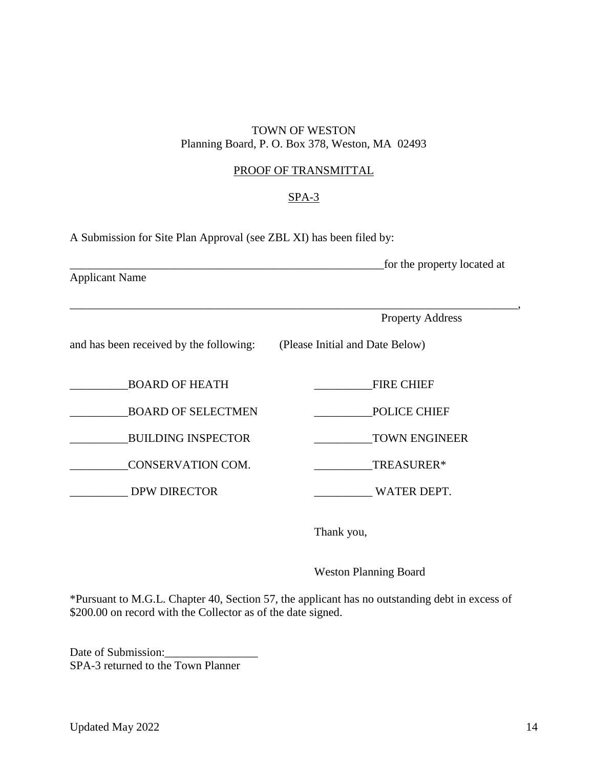### PROOF OF TRANSMITTAL

### SPA-3

\_\_\_\_\_\_\_\_\_\_\_\_\_\_\_\_\_\_\_\_\_\_\_\_\_\_\_\_\_\_\_\_\_\_\_\_\_\_\_\_\_\_\_\_\_\_\_\_\_\_\_\_\_\_\_\_\_\_\_\_\_\_\_\_\_\_\_\_\_\_\_\_\_\_\_\_\_,

A Submission for Site Plan Approval (see ZBL XI) has been filed by:

\_\_\_\_\_\_\_\_\_\_\_\_\_\_\_\_\_\_\_\_\_\_\_\_\_\_\_\_\_\_\_\_\_\_\_\_\_\_\_\_\_\_\_\_\_\_\_\_\_\_\_\_\_\_for the property located at Applicant Name

Property Address

and has been received by the following: (Please Initial and Date Below)

BOARD OF HEATH FIRE CHIEF

BOARD OF SELECTMEN POLICE CHIEF

BUILDING INSPECTOR TOWN ENGINEER

\_\_\_\_\_\_\_\_\_\_CONSERVATION COM. \_\_\_\_\_\_\_\_\_\_TREASURER\*

DPW DIRECTOR WATER DEPT.

Thank you,

Weston Planning Board

\*Pursuant to M.G.L. Chapter 40, Section 57, the applicant has no outstanding debt in excess of \$200.00 on record with the Collector as of the date signed.

Date of Submission: SPA-3 returned to the Town Planner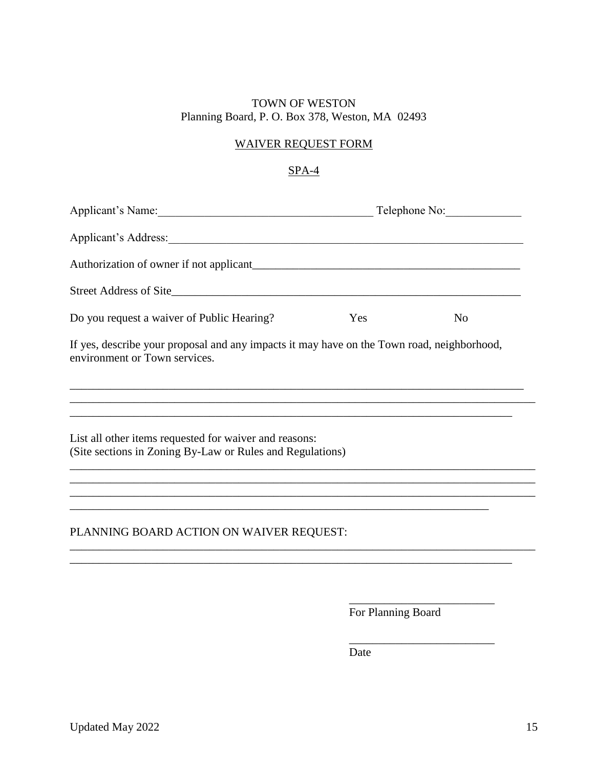## WAIVER REQUEST FORM

## SPA-4

|                                                                                                                             |     | Telephone No:  |
|-----------------------------------------------------------------------------------------------------------------------------|-----|----------------|
|                                                                                                                             |     |                |
|                                                                                                                             |     |                |
|                                                                                                                             |     |                |
| Do you request a waiver of Public Hearing?                                                                                  | Yes | N <sub>0</sub> |
| If yes, describe your proposal and any impacts it may have on the Town road, neighborhood,<br>environment or Town services. |     |                |
|                                                                                                                             |     |                |
| List all other items requested for waiver and reasons:<br>(Site sections in Zoning By-Law or Rules and Regulations)         |     |                |
|                                                                                                                             |     |                |
|                                                                                                                             |     |                |
| PLANNING BOARD ACTION ON WAIVER REQUEST:                                                                                    |     |                |
|                                                                                                                             |     |                |
|                                                                                                                             |     |                |

For Planning Board

\_\_\_\_\_\_\_\_\_\_\_\_\_\_\_\_\_\_\_\_\_\_\_\_\_

\_\_\_\_\_\_\_\_\_\_\_\_\_\_\_\_\_\_\_\_\_\_\_\_\_

Date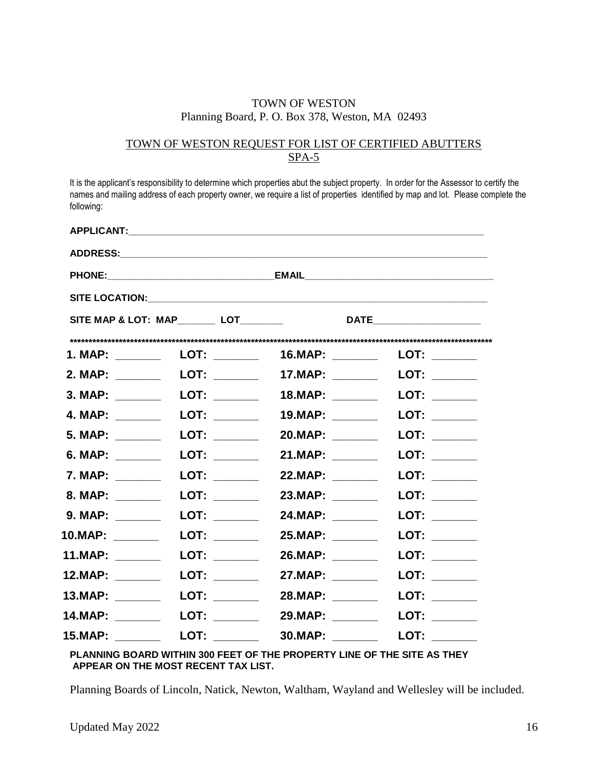### TOWN OF WESTON REQUEST FOR LIST OF CERTIFIED ABUTTERS SPA-5

It is the applicant's responsibility to determine which properties abut the subject property. In order for the Assessor to certify the names and mailing address of each property owner, we require a list of properties identified by map and lot. Please complete the following:

|                                                                                                                                                                                                                                    |                                                                                                                                                                                                                                |                  | SITE MAP & LOT: MAP_________ LOT__________      DATE____________________________                                                                                                                                               |
|------------------------------------------------------------------------------------------------------------------------------------------------------------------------------------------------------------------------------------|--------------------------------------------------------------------------------------------------------------------------------------------------------------------------------------------------------------------------------|------------------|--------------------------------------------------------------------------------------------------------------------------------------------------------------------------------------------------------------------------------|
|                                                                                                                                                                                                                                    | 1. MAP: LOT:                                                                                                                                                                                                                   | 16.MAP: _______  | LOT: $\_\_$                                                                                                                                                                                                                    |
|                                                                                                                                                                                                                                    |                                                                                                                                                                                                                                | 17.MAP: ________ | LOT: $\_\_$                                                                                                                                                                                                                    |
|                                                                                                                                                                                                                                    | 3. MAP: __________  LOT: _________                                                                                                                                                                                             | 18.MAP: _______  | LOT: $\_\_$                                                                                                                                                                                                                    |
| 4. MAP: ________                                                                                                                                                                                                                   | <b>LOT:</b>                                                                                                                                                                                                                    | 19.MAP: _______  |                                                                                                                                                                                                                                |
| 5. MAP: _______                                                                                                                                                                                                                    | LOT: _______                                                                                                                                                                                                                   | 20.MAP: ______   | LOT: _______                                                                                                                                                                                                                   |
| 6. MAP: _______                                                                                                                                                                                                                    | <b>LOT:</b>                                                                                                                                                                                                                    | 21.MAP: _______  |                                                                                                                                                                                                                                |
| 7. MAP: _______                                                                                                                                                                                                                    | LOT: _______                                                                                                                                                                                                                   | 22.MAP: _______  | LOT: _______                                                                                                                                                                                                                   |
| 8. MAP: ________                                                                                                                                                                                                                   | <b>LOT:</b> __________                                                                                                                                                                                                         | 23.MAP: _______  | LOT: _______                                                                                                                                                                                                                   |
| 9. MAP: _______                                                                                                                                                                                                                    | <b>LOT:</b>                                                                                                                                                                                                                    | 24.MAP: _______  | <b>LOT:</b>                                                                                                                                                                                                                    |
| <b>10.MAP:</b> The contract of the contract of the contract of the contract of the contract of the contract of the contract of the contract of the contract of the contract of the contract of the contract of the contract of the | LOT: the contract of the contract of the contract of the contract of the contract of the contract of the contract of the contract of the contract of the contract of the contract of the contract of the contract of the contr | 25.MAP: _______  | LOT: _______                                                                                                                                                                                                                   |
| 11.MAP: _______                                                                                                                                                                                                                    | LOT: ________                                                                                                                                                                                                                  |                  | LOT: the contract of the contract of the contract of the contract of the contract of the contract of the contract of the contract of the contract of the contract of the contract of the contract of the contract of the contr |
| 12.MAP: ______                                                                                                                                                                                                                     | LOT: ________                                                                                                                                                                                                                  | 27.MAP: ______   | LOT: ________                                                                                                                                                                                                                  |
| <b>13.MAP:</b>                                                                                                                                                                                                                     | LOT: _______                                                                                                                                                                                                                   | 28.MAP: _______  | LOT: $\_\_$                                                                                                                                                                                                                    |
| 14.MAP: _______                                                                                                                                                                                                                    |                                                                                                                                                                                                                                | 29.MAP: ______   | LOT: $\_\_$                                                                                                                                                                                                                    |
| 15.MAP: _______                                                                                                                                                                                                                    |                                                                                                                                                                                                                                | 30.MAP: _______  | LOT: $\_\_$                                                                                                                                                                                                                    |

#### **PLANNING BOARD WITHIN 300 FEET OF THE PROPERTY LINE OF THE SITE AS THEY APPEAR ON THE MOST RECENT TAX LIST.**

Planning Boards of Lincoln, Natick, Newton, Waltham, Wayland and Wellesley will be included.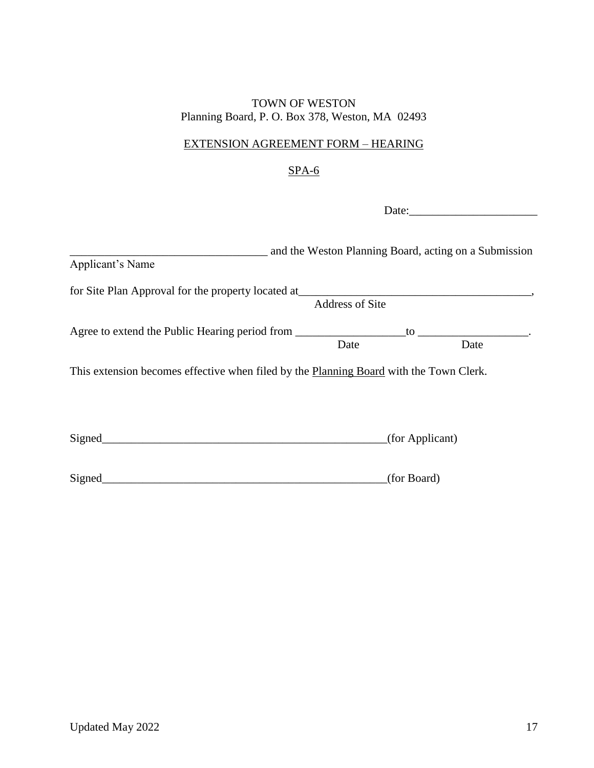## EXTENSION AGREEMENT FORM – HEARING

## SPA-6

Date:\_\_\_\_\_\_\_\_\_\_\_\_\_\_\_\_\_\_\_\_\_\_

| Applicant's Name                                                                       |                        |                 | and the Weston Planning Board, acting on a Submission |
|----------------------------------------------------------------------------------------|------------------------|-----------------|-------------------------------------------------------|
| for Site Plan Approval for the property located at_______________________________      | <b>Address of Site</b> |                 |                                                       |
| Agree to extend the Public Hearing period from __________________________________      | Date                   |                 | $\mathsf{to}$<br>Date                                 |
| This extension becomes effective when filed by the Planning Board with the Town Clerk. |                        |                 |                                                       |
|                                                                                        |                        |                 |                                                       |
| Signed                                                                                 |                        | (for Applicant) |                                                       |
| Signed                                                                                 |                        | (for Board)     |                                                       |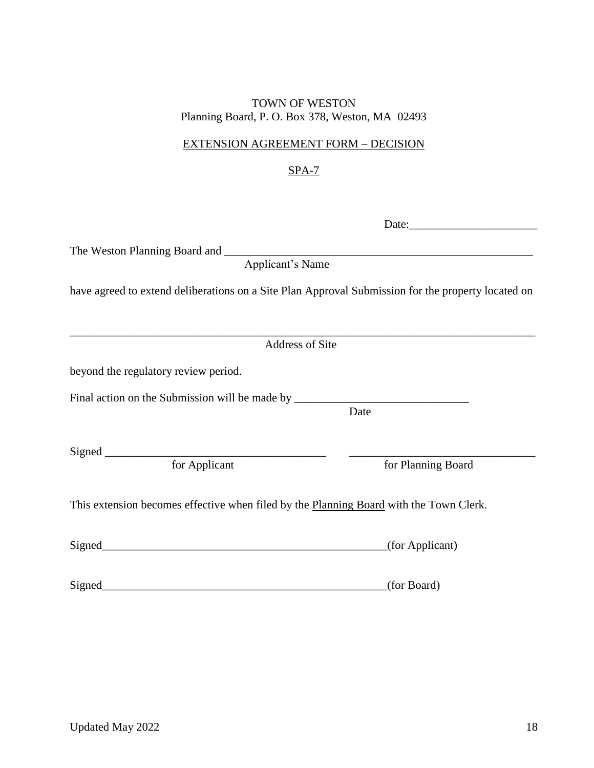## EXTENSION AGREEMENT FORM – DECISION

## SPA-7

| The Weston Planning Board and <u>Applicant's Name</u>                                              |                    |
|----------------------------------------------------------------------------------------------------|--------------------|
|                                                                                                    |                    |
| have agreed to extend deliberations on a Site Plan Approval Submission for the property located on |                    |
| Address of Site                                                                                    |                    |
| beyond the regulatory review period.                                                               |                    |
| Final action on the Submission will be made by _________________________________                   | Date               |
|                                                                                                    |                    |
| for Applicant                                                                                      | for Planning Board |
| This extension becomes effective when filed by the Planning Board with the Town Clerk.             |                    |
|                                                                                                    | (for Applicant)    |
| Signed                                                                                             | (for Board)        |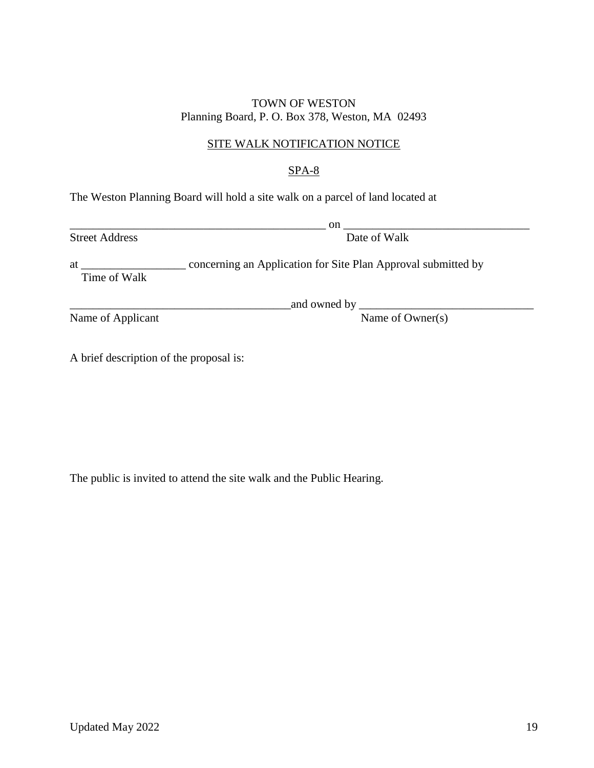### SITE WALK NOTIFICATION NOTICE

## SPA-8

The Weston Planning Board will hold a site walk on a parcel of land located at

Street Address Date of Walk

 $_{\rm on}$   $_{\rm on}$   $_{\rm on}$   $_{\rm on}$   $_{\rm on}$   $_{\rm on}$   $_{\rm on}$   $_{\rm on}$   $_{\rm on}$   $_{\rm on}$   $_{\rm on}$   $_{\rm on}$   $_{\rm on}$   $_{\rm on}$   $_{\rm on}$   $_{\rm on}$   $_{\rm on}$   $_{\rm on}$   $_{\rm on}$   $_{\rm on}$   $_{\rm on}$   $_{\rm on}$   $_{\rm on}$   $_{\rm on}$   $_{\rm on}$   $_{\rm on}$   $_{\rm on}$   $_{\rm on$ 

at \_\_\_\_\_\_\_\_\_\_\_\_\_\_\_\_\_\_ concerning an Application for Site Plan Approval submitted by Time of Walk

Name of Applicant Name of Owner(s)

 $\_$  and owned by  $\_$ 

A brief description of the proposal is:

The public is invited to attend the site walk and the Public Hearing.